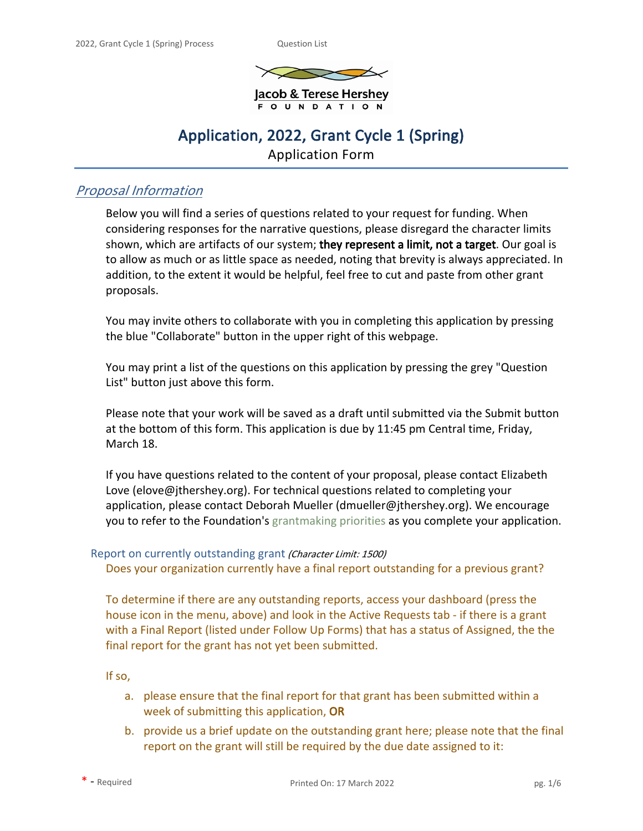

Jacob & Terese Hershey **OUNDATION** 

# **Application, 2022, Grant Cycle 1 (Spring)**

Application Form

# *Proposal Information*

Below you will find a series of questions related to your request for funding. When considering responses for the narrative questions, please disregard the character limits shown, which are artifacts of our system; **they represent a limit, not a target**. Our goal is to allow as much or as little space as needed, noting that brevity is always appreciated. In addition, to the extent it would be helpful, feel free to cut and paste from other grant proposals.

You may invite others to collaborate with you in completing this application by pressing the blue "Collaborate" button in the upper right of this webpage.

You may print a list of the questions on this application by pressing the grey "Question List" button just above this form.

Please note that your work will be saved as a draft until submitted via the Submit button at the bottom of this form. This application is due by 11:45 pm Central time, Friday, March 18.

If you have questions related to the content of your proposal, please contact Elizabeth Love (elove@jthershey.org). For technical questions related to completing your application, please contact Deborah Mueller (dmueller@jthershey.org). We encourage you to refer to the Foundation's [grantmaking priorities](https://jthershey.org/grantmaking-priorities/) as you complete your application.

# Report on currently outstanding grant *(Character Limit: 1500)*

Does your organization currently have a final report outstanding for a previous grant?

To determine if there are any outstanding reports, access your dashboard (press the house icon in the menu, above) and look in the Active Requests tab - if there is a grant with a Final Report (listed under Follow Up Forms) that has a status of Assigned, the the final report for the grant has not yet been submitted.

If so,

- a. please ensure that the final report for that grant has been submitted within a week of submitting this application, **OR**
- b. provide us a brief update on the outstanding grant here; please note that the final report on the grant will still be required by the due date assigned to it: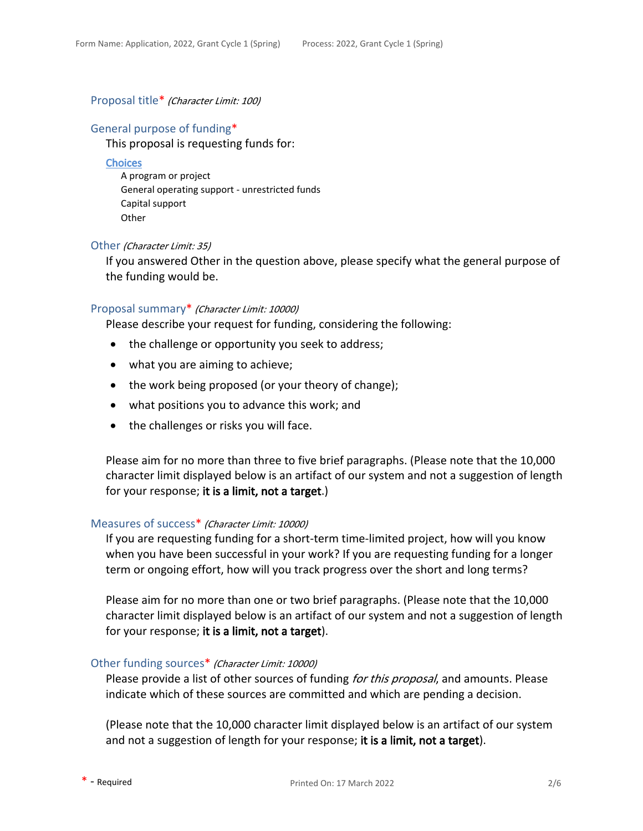### Proposal title\* *(Character Limit: 100)*

### General purpose of funding\*

This proposal is requesting funds for:

#### **Choices**

A program or project General operating support - unrestricted funds Capital support **Other** 

#### Other *(Character Limit: 35)*

If you answered Other in the question above, please specify what the general purpose of the funding would be.

#### Proposal summary\* *(Character Limit: 10000)*

Please describe your request for funding, considering the following:

- the challenge or opportunity you seek to address;
- what you are aiming to achieve;
- the work being proposed (or your theory of change);
- what positions you to advance this work; and
- the challenges or risks you will face.

Please aim for no more than three to five brief paragraphs. (Please note that the 10,000 character limit displayed below is an artifact of our system and not a suggestion of length for your response; **it is a limit, not a target**.)

#### Measures of success\* *(Character Limit: 10000)*

If you are requesting funding for a short-term time-limited project, how will you know when you have been successful in your work? If you are requesting funding for a longer term or ongoing effort, how will you track progress over the short and long terms?

Please aim for no more than one or two brief paragraphs. (Please note that the 10,000 character limit displayed below is an artifact of our system and not a suggestion of length for your response; **it is a limit, not a target**).

### Other funding sources\* *(Character Limit: 10000)*

Please provide a list of other sources of funding *for this proposal*, and amounts. Please indicate which of these sources are committed and which are pending a decision.

(Please note that the 10,000 character limit displayed below is an artifact of our system and not a suggestion of length for your response; **it is a limit, not a target**).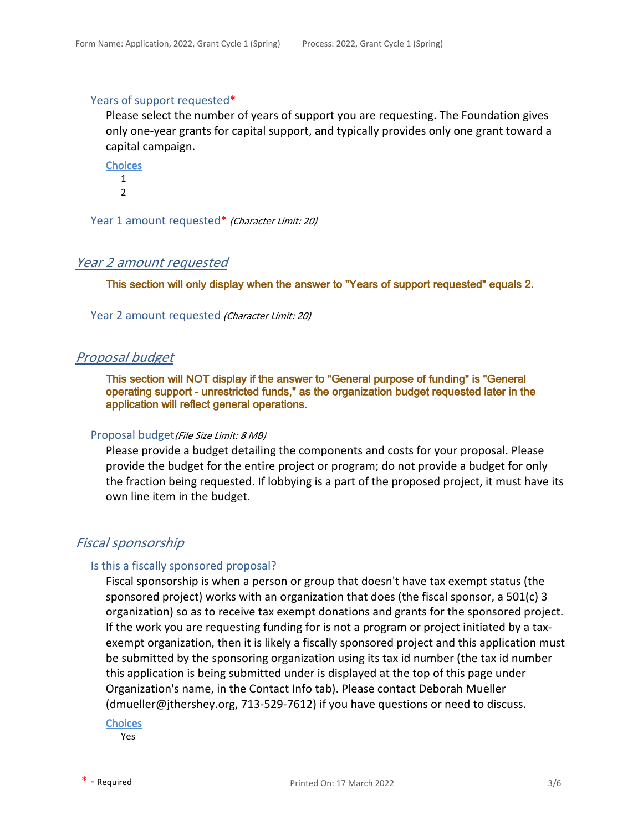### Years of support requested\*

Please select the number of years of support you are requesting. The Foundation gives only one-year grants for capital support, and typically provides only one grant toward a capital campaign.

**Choices** 1  $\overline{2}$ 

Year 1 amount requested\* *(Character Limit: 20)*

# *Year 2 amount requested*

**This section will only display when the answer to "Years of support requested" equals 2.**

Year 2 amount requested *(Character Limit: 20)*

### *Proposal budget*

**This section will NOT display if the answer to "General purpose of funding" is "General operating support - unrestricted funds," as the organization budget requested later in the application will reflect general operations.**

### Proposal budget*(File Size Limit: 8 MB)*

Please provide a budget detailing the components and costs for your proposal. Please provide the budget for the entire project or program; do not provide a budget for only the fraction being requested. If lobbying is a part of the proposed project, it must have its own line item in the budget.

# *Fiscal sponsorship*

### Is this a fiscally sponsored proposal?

Fiscal sponsorship is when a person or group that doesn't have tax exempt status (the sponsored project) works with an organization that does (the fiscal sponsor, a 501(c) 3 organization) so as to receive tax exempt donations and grants for the sponsored project. If the work you are requesting funding for is not a program or project initiated by a taxexempt organization, then it is likely a fiscally sponsored project and this application must be submitted by the sponsoring organization using its tax id number (the tax id number this application is being submitted under is displayed at the top of this page under Organization's name, in the Contact Info tab). Please contact Deborah Mueller (dmueller@jthershey.org, 713-529-7612) if you have questions or need to discuss.

### **Choices**

Yes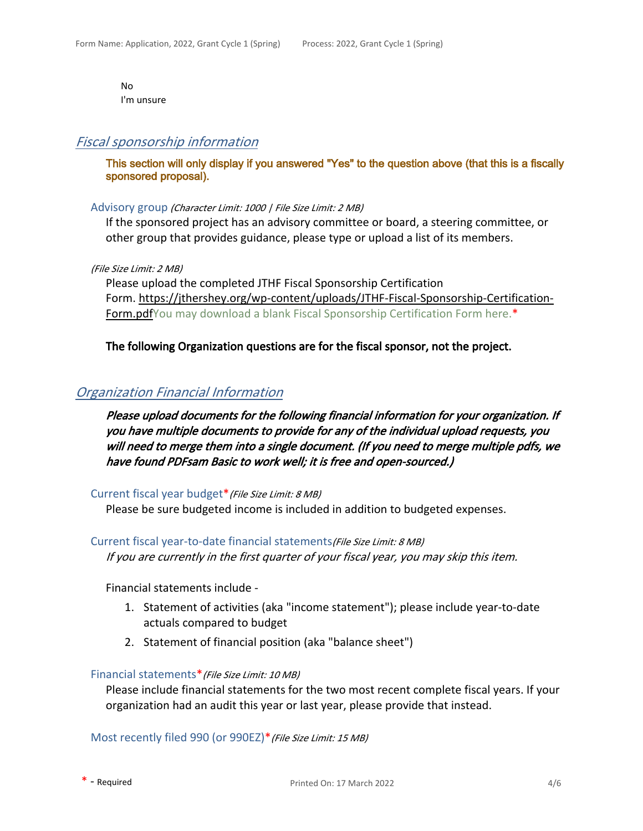No I'm unsure

# *Fiscal sponsorship information*

**This section will only display if you answered "Yes" to the question above (that this is a fiscally sponsored proposal).**

### Advisory group *(Character Limit: 1000 | File Size Limit: 2 MB)*

If the sponsored project has an advisory committee or board, a steering committee, or other group that provides guidance, please type or upload a list of its members.

*(File Size Limit: 2 MB)*

Please upload the completed JTHF Fiscal Sponsorship Certification Form. [https://jthershey.org/wp-content/uploads/JTHF-Fiscal-Sponsorship-Certification-](https://jthershey.org/wp-content/uploads/JTHF-Fiscal-Sponsorship-Certification-Form.pdf)[Form.pdfYou may download a blank Fiscal Sponsorship Certification Form here.\\*](https://jthershey.org/wp-content/uploads/JTHF-Fiscal-Sponsorship-Certification-Form.pdf)

### **The following Organization questions are for the fiscal sponsor, not the project.**

# *Organization Financial Information*

*Please upload documents for the following financial information for your organization. If you have multiple documents to provide for any of the individual upload requests, you will need to merge them into a single document. (If you need to merge multiple pdfs, we have found PDFsam Basic to work well; it is free and open-sourced.)* 

### Current fiscal year budget\**(File Size Limit: 8 MB)*

Please be sure budgeted income is included in addition to budgeted expenses.

Current fiscal year-to-date financial statements*(File Size Limit: 8 MB)*

*If you are currently in the first quarter of your fiscal year, you may skip this item.*

Financial statements include -

- 1. Statement of activities (aka "income statement"); please include year-to-date actuals compared to budget
- 2. Statement of financial position (aka "balance sheet")

### Financial statements\**(File Size Limit: 10 MB)*

Please include financial statements for the two most recent complete fiscal years. If your organization had an audit this year or last year, please provide that instead.

Most recently filed 990 (or 990EZ)\**(File Size Limit: 15 MB)*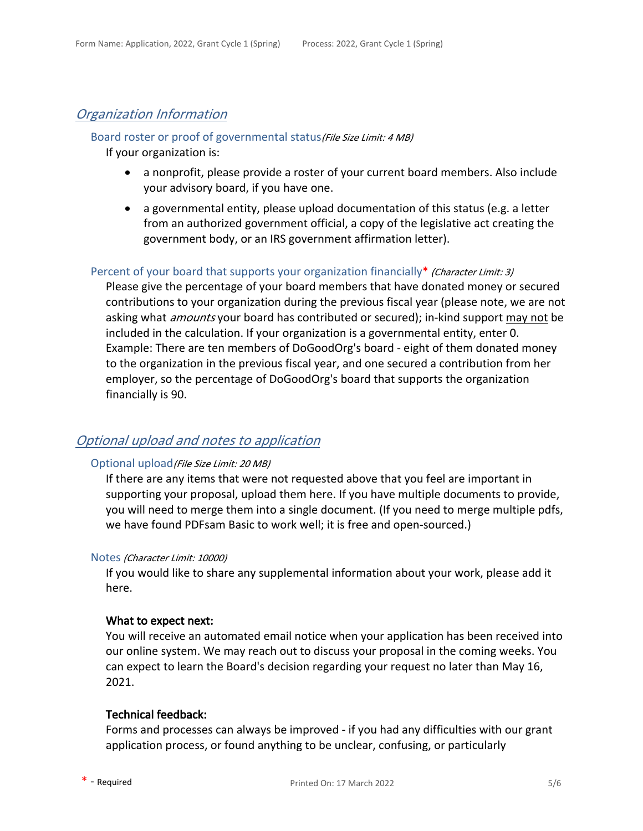# *Organization Information*

# Board roster or proof of governmental status*(File Size Limit: 4 MB)*

If your organization is:

- a nonprofit, please provide a roster of your current board members. Also include your advisory board, if you have one.
- a governmental entity, please upload documentation of this status (e.g. a letter from an authorized government official, a copy of the legislative act creating the government body, or an IRS government affirmation letter).

### Percent of your board that supports your organization financially\* *(Character Limit: 3)*

Please give the percentage of your board members that have donated money or secured contributions to your organization during the previous fiscal year (please note, we are not asking what *amounts* your board has contributed or secured); in-kind support may not be included in the calculation. If your organization is a governmental entity, enter 0. Example: There are ten members of DoGoodOrg's board - eight of them donated money to the organization in the previous fiscal year, and one secured a contribution from her employer, so the percentage of DoGoodOrg's board that supports the organization financially is 90.

# *Optional upload and notes to application*

### Optional upload*(File Size Limit: 20 MB)*

If there are any items that were not requested above that you feel are important in supporting your proposal, upload them here. If you have multiple documents to provide, you will need to merge them into a single document. (If you need to merge multiple pdfs, we have found PDFsam Basic to work well; it is free and open-sourced.)

### Notes *(Character Limit: 10000)*

If you would like to share any supplemental information about your work, please add it here.

### **What to expect next:**

You will receive an automated email notice when your application has been received into our online system. We may reach out to discuss your proposal in the coming weeks. You can expect to learn the Board's decision regarding your request no later than May 16, 2021.

### **Technical feedback:**

Forms and processes can always be improved - if you had any difficulties with our grant application process, or found anything to be unclear, confusing, or particularly